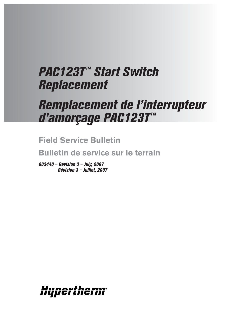# **PAC123T<sup>™</sup> Start Switch** *Replacement*

# *Remplacement de l'interrupteur d'amorçage PAC123T™*

**Field Service Bulletin**

**Bulletin de service sur le terrain**

*803440 – Revision 3 – July, 2007 Révision 3 – Julliet, 2007*

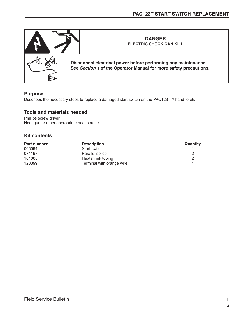

### **Purpose**

Describes the necessary steps to replace a damaged start switch on the PAC123T™ hand torch.

#### **Tools and materials needed**

Phillips screw driver Heat gun or other appropriate heat source

#### **Kit contents**

| <b>Part number</b> | <b>Description</b>        | <b>Quantity</b> |
|--------------------|---------------------------|-----------------|
| 005094             | Start switch              |                 |
| 074197             | Parallel splice           |                 |
| 104005             | Heatshrink tubing         |                 |
| 123399             | Terminal with orange wire |                 |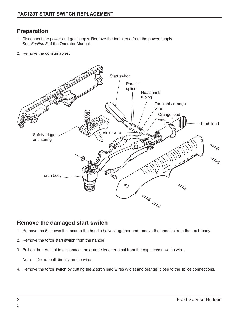# **Preparation**

- 1. Disconnect the power and gas supply. Remove the torch lead from the power supply. See Section 3 of the Operator Manual.
- 2. Remove the consumables.



## **Remove the damaged start switch**

- 1. Remove the 5 screws that secure the handle halves together and remove the handles from the torch body.
- 2. Remove the torch start switch from the handle.
- 3. Pull on the terminal to disconnect the orange lead terminal from the cap sensor switch wire.

Note: Do not pull directly on the wires.

4. Remove the torch switch by cutting the 2 torch lead wires (violet and orange) close to the splice connections.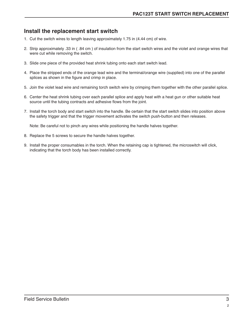# **Install the replacement start switch**

- 1. Cut the switch wires to length leaving approximately 1.75 in (4.44 cm) of wire.
- 2. Strip approximately .33 in ( .84 cm ) of insulation from the start switch wires and the violet and orange wires that were cut while removing the switch.
- 3. Slide one piece of the provided heat shrink tubing onto each start switch lead.
- 4. Place the stripped ends of the orange lead wire and the terminal/orange wire (supplied) into one of the parallel splices as shown in the figure and crimp in place.
- 5. Join the violet lead wire and remaining torch switch wire by crimping them together with the other parallel splice.
- 6. Center the heat shrink tubing over each parallel splice and apply heat with a heat gun or other suitable heat source until the tubing contracts and adhesive flows from the joint.
- 7. Install the torch body and start switch into the handle. Be certain that the start switch slides into position above the safety trigger and that the trigger movement activates the switch push-button and then releases.

Note: Be careful not to pinch any wires while positioning the handle halves together.

- 8. Replace the 5 screws to secure the handle halves together.
- 9. Install the proper consumables in the torch. When the retaining cap is tightened, the microswitch will click, indicating that the torch body has been installed correctly.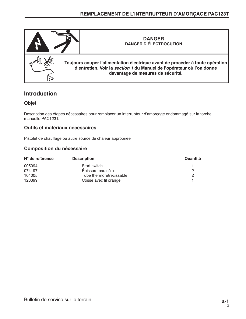

## **Introduction**

## **Objet**

Description des étapes nécessaires pour remplacer un interrupteur d'amorçage endommagé sur la torche manuelle PAC123T.

### **Outils et matériaux nécessaires**

Pistolet de chauffage ou autre source de chaleur appropriée

### **Composition du nécessaire**

| N° de référence | <b>Description</b>       | Quantité |
|-----------------|--------------------------|----------|
| 005094          | Start switch             |          |
| 074197          | Épissure parallèle       |          |
| 104005          | Tube thermorétrécissable |          |
| 123399          | Cosse avec fil orange    |          |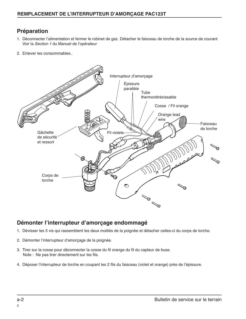# **Préparation**

- 1. Déconnecter l'alimentation et fermer le robinet de gaz. Détacher le faisceau de torche de la source de courant Voir la Section 1 du Manuel de l'opérateur
- 2. Enlever les consommables..



## **Démonter l'interrupteur d'amorçage endommagé**

- 1. Dévisser les 5 vis qui rassemblent les deux moitiés de la poignée et détacher celles-ci du corps de torche.
- 2. Démonter l'interrupteur d'amorçage de la poignée.
- 3. Tirer sur la cosse pour déconnecter la cosse du fil orange du fil du capteur de buse. Note : Ne pas tirer directement sur les fils.
- 4. Déposer l'interrupteur de torche en coupant les 2 fils du faisceau (violet et orange) près de l'épissure.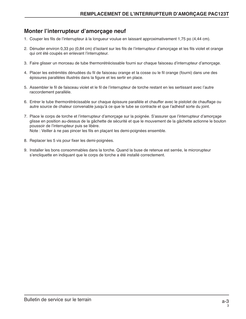# **Monter l'interrupteur d'amorçage neuf**

- 1. Couper les fils de l'interrupteur à la longueur voulue en laissant approximativement 1,75 po (4,44 cm).
- 2. Dénuder environ 0,33 po (0,84 cm) d'isolant sur les fils de l'interrupteur d'amorçage et les fils violet et orange qui ont été coupés en enlevant l'interrupteur.
- 3. Faire glisser un morceau de tube thermorétrécissable fourni sur chaque faisceau d'interrupteur d'amorçage.
- 4. Placer les extrémités dénudées du fil de faisceau orange et la cosse ou le fil orange (fourni) dans une des épissures parallèles illustrés dans la figure et les sertir en place.
- 5. Assembler le fil de faisceau violet et le fil de l'interrupteur de torche restant en les sertissant avec l'autre raccordement parallèle.
- 6. Entrer le tube thermorétrécissable sur chaque épissure parallèle et chauffer avec le pistolet de chauffage ou autre source de chaleur convenable jusqu'à ce que le tube se contracte et que l'adhésif sorte du joint.
- 7. Place le corps de torche et l'interrupteur d'amorçage sur la poignée. S'assurer que l'interrupteur d'amorçage glisse en position au-dessus de la gâchette de sécurité et que le mouvement de la gâchette actionne le bouton poussoir de l'interrupteur puis se libère. Note : Veiller à ne pas pincer les fils en plaçant les demi-poignées ensemble.
	-
- 8. Replacer les 5 vis pour fixer les demi-poignées.
- 9. Installer les bons consommables dans la torche. Quand la buse de retenue est serrée, le microrupteur s'encliquette en indiquant que le corps de torche a été installé correctement.